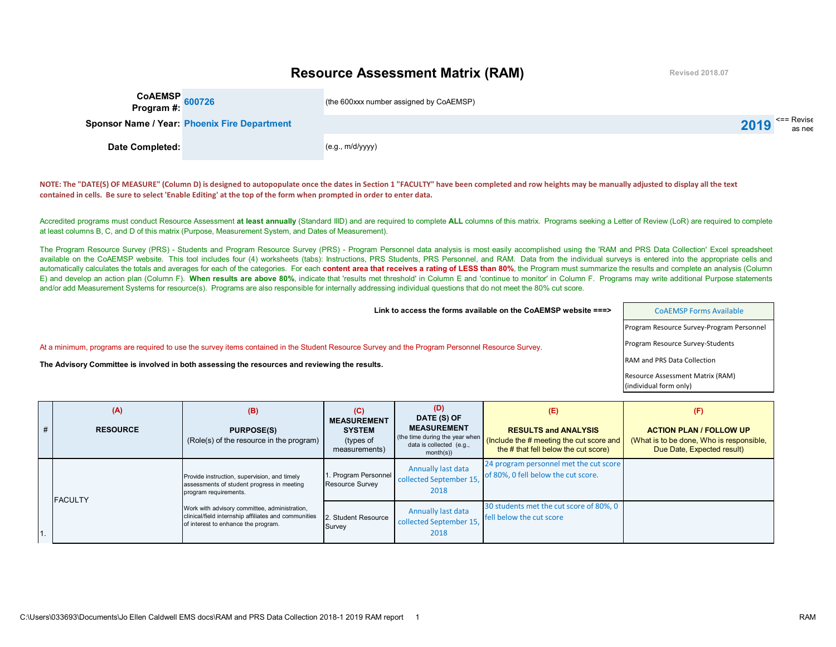## **Resource Assessment Matrix (RAM)**

**Revised 2018.07**

| CoAEMSP 600726                                      | (the 600xxx number assigned by CoAEMSP) |                                   |
|-----------------------------------------------------|-----------------------------------------|-----------------------------------|
| <b>Sponsor Name / Year: Phoenix Fire Department</b> |                                         | $\leq$ = Revise<br>2019<br>as nee |
| Date Completed:                                     | (e.g., m/d/yyyy)                        |                                   |

**NOTE: The "DATE(S) OF MEASURE" (Column D) is designed to autopopulate once the dates in Section 1 "FACULTY" have been completed and row heights may be manually adjusted to display all the text contained in cells. Be sure to select 'Enable Editing' at the top of the form when prompted in order to enter data.**

Accredited programs must conduct Resource Assessment at least annually (Standard IIID) and are required to complete ALL columns of this matrix. Programs seeking a Letter of Review (LoR) are required to complete at least columns B, C, and D of this matrix (Purpose, Measurement System, and Dates of Measurement).

The Program Resource Survey (PRS) - Students and Program Resource Survey (PRS) - Program Personnel data analysis is most easily accomplished using the 'RAM and PRS Data Collection' Excel spreadsheet available on the CoAEMSP website. This tool includes four (4) worksheets (tabs): Instructions, PRS Students, PRS Personnel, and RAM. Data from the individual surveys is entered into the appropriate cells and automatically calculates the totals and averages for each of the categories. For each content area that receives a rating of LESS than 80%, the Program must summarize the results and complete an analysis (Column E) and develop an action plan (Column F). When results are above 80%, indicate that 'results met threshold' in Column E and 'continue to monitor' in Column F. Programs may write additional Purpose statements and/or add Measurement Systems for resource(s). Programs are also responsible for internally addressing individual questions that do not meet the 80% cut score.

| Link to access the forms available on the CoAEMSP website $==$                                                                                  | <b>COAEMSP Forms Available</b>                             |
|-------------------------------------------------------------------------------------------------------------------------------------------------|------------------------------------------------------------|
|                                                                                                                                                 | Program Resource Survey-Program Personnel                  |
| At a minimum, programs are reguired to use the survey items contained in the Student Resource Survey and the Program Personnel Resource Survey. | Program Resource Survey-Students                           |
| The Advisory Committee is involved in both assessing the resources and reviewing the results.                                                   | RAM and PRS Data Collection                                |
|                                                                                                                                                 | Resource Assessment Matrix (RAM)<br>(individual form only) |
|                                                                                                                                                 |                                                            |

| # | (A)<br><b>RESOURCE</b>                                                                                                                       | (B)<br><b>PURPOSE(S)</b><br>(Role(s) of the resource in the program)                                                | (C)<br><b>MEASUREMENT</b><br><b>SYSTEM</b><br>(types of<br>measurements) | (D)<br>DATE (S) OF<br><b>MEASUREMENT</b><br>(the time during the year when<br>data is collected (e.g.,<br>month(s) | (E)<br><b>RESULTS and ANALYSIS</b><br>(Include the # meeting the cut score and<br>the # that fell below the cut score) | (F)<br><b>ACTION PLAN / FOLLOW UP</b><br>(What is to be done, Who is responsible,<br>Due Date, Expected result) |
|---|----------------------------------------------------------------------------------------------------------------------------------------------|---------------------------------------------------------------------------------------------------------------------|--------------------------------------------------------------------------|--------------------------------------------------------------------------------------------------------------------|------------------------------------------------------------------------------------------------------------------------|-----------------------------------------------------------------------------------------------------------------|
|   | <b>FACULTY</b>                                                                                                                               | Provide instruction, supervision, and timely<br>assessments of student progress in meeting<br>program requirements. | 1. Program Personnel<br><b>Resource Survey</b>                           | <b>Annually last data</b><br>collected September 15,<br>2018                                                       | 24 program personnel met the cut score<br>of 80%, 0 fell below the cut score.                                          |                                                                                                                 |
|   | Work with advisory committee, administration,<br>clinical/field internship affiliates and communities<br>of interest to enhance the program. | 2. Student Resource<br>Survey                                                                                       | Annually last data<br>collected September 15,<br>2018                    | 30 students met the cut score of 80%, 0<br>fell below the cut score                                                |                                                                                                                        |                                                                                                                 |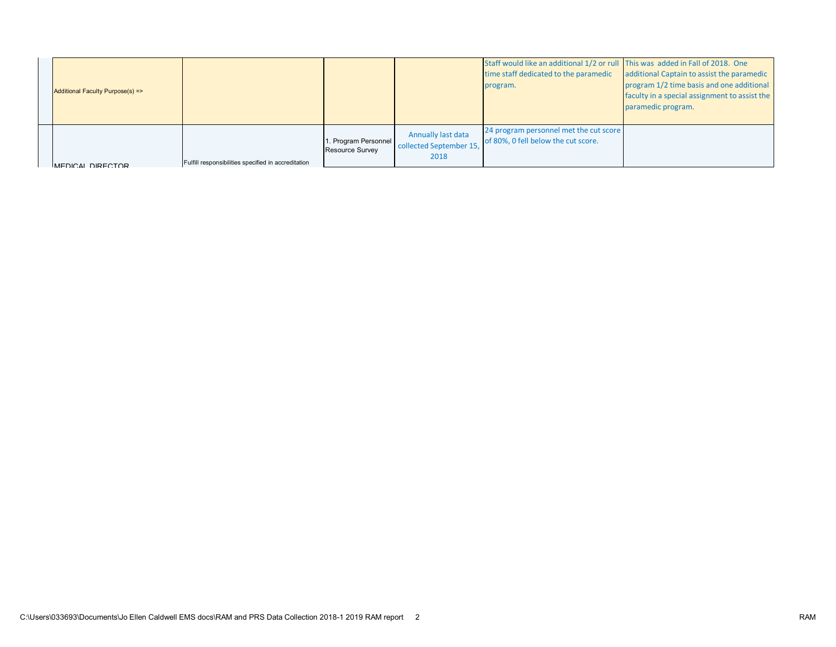| Additional Faculty Purpose(s) => |                                                     |                                                |                                                              | Staff would like an additional 1/2 or rull This was added in Fall of 2018. One<br>time staff dedicated to the paramedic<br>program. | additional Captain to assist the paramedic<br>program 1/2 time basis and one additional<br>faculty in a special assignment to assist the<br>paramedic program. |
|----------------------------------|-----------------------------------------------------|------------------------------------------------|--------------------------------------------------------------|-------------------------------------------------------------------------------------------------------------------------------------|----------------------------------------------------------------------------------------------------------------------------------------------------------------|
| MEDICAL DIRECTOR                 | Fulfill responsibilities specified in accreditation | 1. Program Personnel<br><b>Resource Survey</b> | <b>Annually last data</b><br>collected September 15,<br>2018 | 24 program personnel met the cut score<br>of 80%, 0 fell below the cut score.                                                       |                                                                                                                                                                |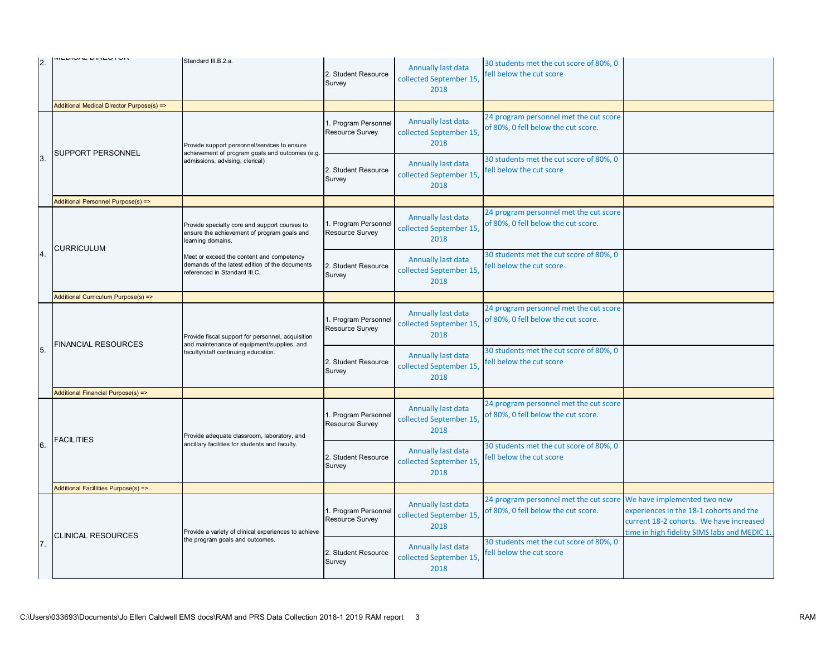|                | ミトレランフト レミントヘーベル                          | Standard III.B.2.a.                                                                                                                |                                         |                                                       |                                                                               |                                                                                                                                                                   |
|----------------|-------------------------------------------|------------------------------------------------------------------------------------------------------------------------------------|-----------------------------------------|-------------------------------------------------------|-------------------------------------------------------------------------------|-------------------------------------------------------------------------------------------------------------------------------------------------------------------|
| $\overline{2}$ |                                           |                                                                                                                                    | 2. Student Resource<br>Survey           | Annually last data<br>collected September 15,<br>2018 | 30 students met the cut score of 80%, 0<br>fell below the cut score           |                                                                                                                                                                   |
|                | Additional Medical Director Purpose(s) => |                                                                                                                                    |                                         |                                                       |                                                                               |                                                                                                                                                                   |
| 3.             | SUPPORT PERSONNEL                         | Provide support personnel/services to ensure<br>achievement of program goals and outcomes (e.g.<br>admissions, advising, clerical) | 1. Program Personnel<br>Resource Survey | Annually last data<br>collected September 15,<br>2018 | 24 program personnel met the cut score<br>of 80%, 0 fell below the cut score. |                                                                                                                                                                   |
|                |                                           |                                                                                                                                    | 2. Student Resource<br>Survey           | Annually last data<br>collected September 15,<br>2018 | 30 students met the cut score of 80%, 0<br>fell below the cut score           |                                                                                                                                                                   |
|                | Additional Personnel Purpose(s) =>        |                                                                                                                                    |                                         |                                                       |                                                                               |                                                                                                                                                                   |
|                |                                           | Provide specialty core and support courses to<br>ensure the achievement of program goals and<br>learning domains.                  | 1. Program Personnel<br>Resource Survey | Annually last data<br>collected September 15,<br>2018 | 24 program personnel met the cut score<br>of 80%, 0 fell below the cut score. |                                                                                                                                                                   |
| $\overline{4}$ | <b>CURRICULUM</b>                         | Meet or exceed the content and competency<br>demands of the latest edition of the documents<br>referenced in Standard III.C.       | 2. Student Resource<br>Survey           | Annually last data<br>collected September 15,<br>2018 | 30 students met the cut score of 80%, 0<br>fell below the cut score           |                                                                                                                                                                   |
|                | Additional Curriculum Purpose(s) =>       |                                                                                                                                    |                                         |                                                       |                                                                               |                                                                                                                                                                   |
|                |                                           | Provide fiscal support for personnel, acquisition                                                                                  | 1. Program Personnel<br>Resource Survey | Annually last data<br>collected September 15,<br>2018 | 24 program personnel met the cut score<br>of 80%, 0 fell below the cut score. |                                                                                                                                                                   |
| 5.             | <b>FINANCIAL RESOURCES</b>                | and maintenance of equipment/supplies, and<br>faculty/staff continuing education.                                                  | 2. Student Resource<br>Survey           | Annually last data<br>collected September 15,<br>2018 | 30 students met the cut score of 80%, 0<br>fell below the cut score           |                                                                                                                                                                   |
|                | Additional Financial Purpose(s) =>        |                                                                                                                                    |                                         |                                                       |                                                                               |                                                                                                                                                                   |
|                | <b>FACILITIES</b>                         | Provide adequate classroom, laboratory, and                                                                                        | 1. Program Personnel<br>Resource Survey | Annually last data<br>collected September 15,<br>2018 | 24 program personnel met the cut score<br>of 80%, 0 fell below the cut score. |                                                                                                                                                                   |
| 6.             |                                           | ancillary facilities for students and faculty.                                                                                     | 2. Student Resource<br>Survey           | Annually last data<br>collected September 15,<br>2018 | 30 students met the cut score of 80%, 0<br>fell below the cut score           |                                                                                                                                                                   |
|                | Additional Facillities Purpose(s) =>      |                                                                                                                                    |                                         |                                                       |                                                                               |                                                                                                                                                                   |
| 7.             | <b>CLINICAL RESOURCES</b>                 | Provide a variety of clinical experiences to achieve<br>the program goals and outcomes.                                            | 1. Program Personnel<br>Resource Survey | Annually last data<br>collected September 15,<br>2018 | 24 program personnel met the cut score<br>of 80%, 0 fell below the cut score. | We have implemented two new<br>experiences in the 18-1 cohorts and the<br>current 18-2 cohorts. We have increased<br>time in high fidelity SIMS labs and MEDIC 1. |
|                |                                           |                                                                                                                                    | 2. Student Resource<br>Survey           | Annually last data<br>collected September 15,<br>2018 | 30 students met the cut score of 80%, 0<br>fell below the cut score           |                                                                                                                                                                   |